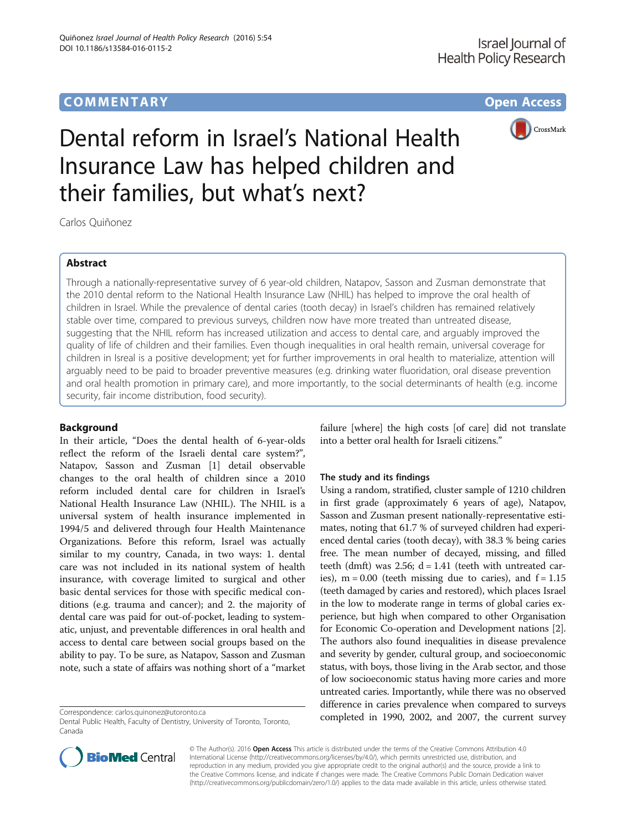# **COMMENTARY COMMENTARY Open Access**



# Dental reform in Israel's National Health Insurance Law has helped children and their families, but what's next?

Carlos Quiñonez

# Abstract

Through a nationally-representative survey of 6 year-old children, Natapov, Sasson and Zusman demonstrate that the 2010 dental reform to the National Health Insurance Law (NHIL) has helped to improve the oral health of children in Israel. While the prevalence of dental caries (tooth decay) in Israel's children has remained relatively stable over time, compared to previous surveys, children now have more treated than untreated disease, suggesting that the NHIL reform has increased utilization and access to dental care, and arguably improved the quality of life of children and their families. Even though inequalities in oral health remain, universal coverage for children in Isreal is a positive development; yet for further improvements in oral health to materialize, attention will arguably need to be paid to broader preventive measures (e.g. drinking water fluoridation, oral disease prevention and oral health promotion in primary care), and more importantly, to the social determinants of health (e.g. income security, fair income distribution, food security).

## Background

In their article, "Does the dental health of 6-year-olds reflect the reform of the Israeli dental care system?", Natapov, Sasson and Zusman [[1\]](#page-1-0) detail observable changes to the oral health of children since a 2010 reform included dental care for children in Israel's National Health Insurance Law (NHIL). The NHIL is a universal system of health insurance implemented in 1994/5 and delivered through four Health Maintenance Organizations. Before this reform, Israel was actually similar to my country, Canada, in two ways: 1. dental care was not included in its national system of health insurance, with coverage limited to surgical and other basic dental services for those with specific medical conditions (e.g. trauma and cancer); and 2. the majority of dental care was paid for out-of-pocket, leading to systematic, unjust, and preventable differences in oral health and access to dental care between social groups based on the ability to pay. To be sure, as Natapov, Sasson and Zusman note, such a state of affairs was nothing short of a "market

failure [where] the high costs [of care] did not translate into a better oral health for Israeli citizens."

## The study and its findings

Using a random, stratified, cluster sample of 1210 children in first grade (approximately 6 years of age), Natapov, Sasson and Zusman present nationally-representative estimates, noting that 61.7 % of surveyed children had experienced dental caries (tooth decay), with 38.3 % being caries free. The mean number of decayed, missing, and filled teeth (dmft) was 2.56;  $d = 1.41$  (teeth with untreated caries),  $m = 0.00$  (teeth missing due to caries), and  $f = 1.15$ (teeth damaged by caries and restored), which places Israel in the low to moderate range in terms of global caries experience, but high when compared to other Organisation for Economic Co-operation and Development nations [[2](#page-1-0)]. The authors also found inequalities in disease prevalence and severity by gender, cultural group, and socioeconomic status, with boys, those living in the Arab sector, and those of low socioeconomic status having more caries and more untreated caries. Importantly, while there was no observed difference in caries prevalence when compared to surveys Correspondence: [carlos.quinonez@utoronto.ca](mailto:carlos.quinonez@utoronto.ca) completed in 1990, 2002, and 2007, the current survey



© The Author(s). 2016 Open Access This article is distributed under the terms of the Creative Commons Attribution 4.0 International License [\(http://creativecommons.org/licenses/by/4.0/](http://creativecommons.org/licenses/by/4.0/)), which permits unrestricted use, distribution, and reproduction in any medium, provided you give appropriate credit to the original author(s) and the source, provide a link to the Creative Commons license, and indicate if changes were made. The Creative Commons Public Domain Dedication waiver [\(http://creativecommons.org/publicdomain/zero/1.0/](http://creativecommons.org/publicdomain/zero/1.0/)) applies to the data made available in this article, unless otherwise stated.

Dental Public Health, Faculty of Dentistry, University of Toronto, Toronto, Canada